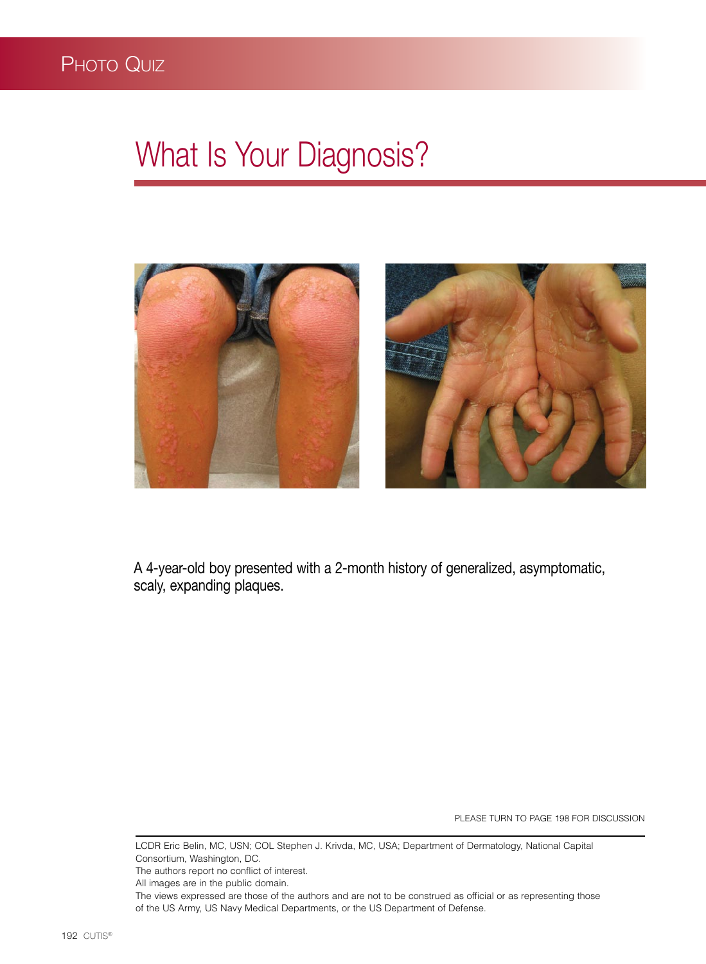## What Is Your Diagnosis?



A 4-year-old boy presented with a 2-month history of generalized, asymptomatic, scaly, expanding plaques.

PLEASE TURN TO PAGE 198 FOR DISCUSSION

LCDR Eric Belin, MC, USN; COL Stephen J. Krivda, MC, USA; Department of Dermatology, National Capital Consortium, Washington, DC. The authors report no conflict of interest. All images are in the public domain. The views expressed are those of the authors and are not to be construed as official or as representing those of the US Army, US Navy Medical Departments, or the US Department of Defense.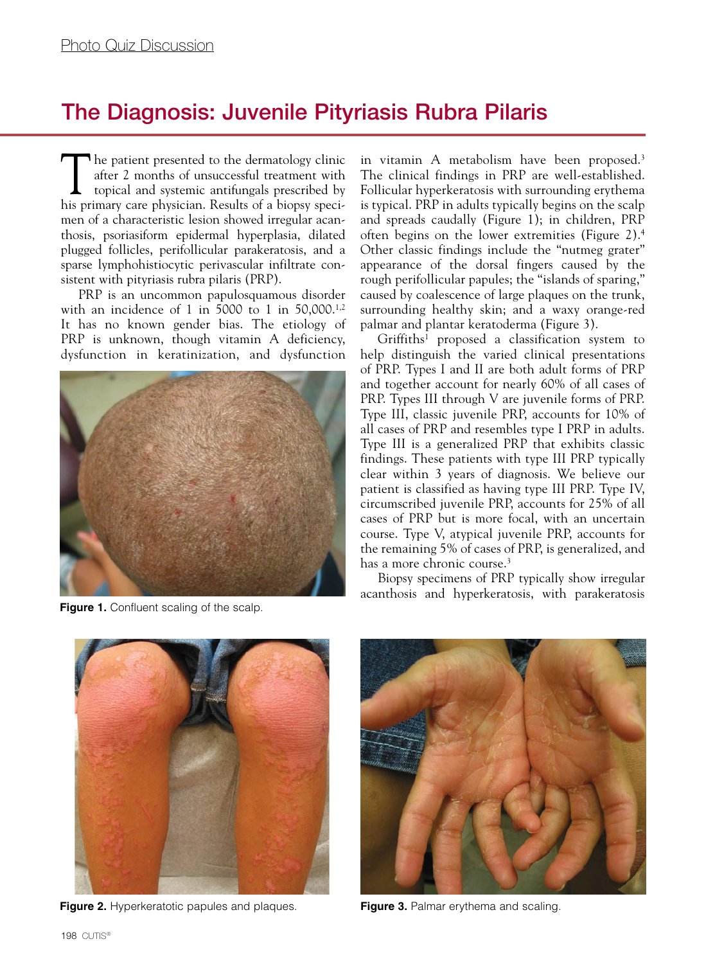## The Diagnosis: Juvenile Pityriasis Rubra Pilaris

The patient presented to the dermatology clinic after 2 months of unsuccessful treatment with topical and systemic antifungals prescribed by after 2 months of unsuccessful treatment with his primary care physician. Results of a biopsy specimen of a characteristic lesion showed irregular acanthosis, psoriasiform epidermal hyperplasia, dilated plugged follicles, perifollicular parakeratosis, and a sparse lymphohistiocytic perivascular infiltrate consistent with pityriasis rubra pilaris (PRP).

PRP is an uncommon papulosquamous disorder with an incidence of 1 in 5000 to 1 in 50,000.1,2 It has no known gender bias. The etiology of PRP is unknown, though vitamin A deficiency, dysfunction in keratinization, and dysfunction



**Figure 1.** Confluent scaling of the scalp.

in vitamin A metabolism have been proposed.<sup>3</sup> The clinical findings in PRP are well-established. Follicular hyperkeratosis with surrounding erythema is typical. PRP in adults typically begins on the scalp and spreads caudally (Figure 1); in children, PRP often begins on the lower extremities (Figure 2).4 Other classic findings include the "nutmeg grater" appearance of the dorsal fingers caused by the rough perifollicular papules; the "islands of sparing," caused by coalescence of large plaques on the trunk, surrounding healthy skin; and a waxy orange-red palmar and plantar keratoderma (Figure 3).

Griffiths1 proposed a classification system to help distinguish the varied clinical presentations of PRP. Types I and II are both adult forms of PRP and together account for nearly 60% of all cases of PRP. Types III through V are juvenile forms of PRP. Type III, classic juvenile PRP, accounts for 10% of all cases of PRP and resembles type I PRP in adults. Type III is a generalized PRP that exhibits classic findings. These patients with type III PRP typically clear within 3 years of diagnosis. We believe our patient is classified as having type III PRP. Type IV, circumscribed juvenile PRP, accounts for 25% of all cases of PRP but is more focal, with an uncertain course. Type V, atypical juvenile PRP, accounts for the remaining 5% of cases of PRP, is generalized, and has a more chronic course.<sup>3</sup>

Biopsy specimens of PRP typically show irregular acanthosis and hyperkeratosis, with parakeratosis



**Figure 2.** Hyperkeratotic papules and plaques. **Figure 3.** Palmar erythema and scaling.